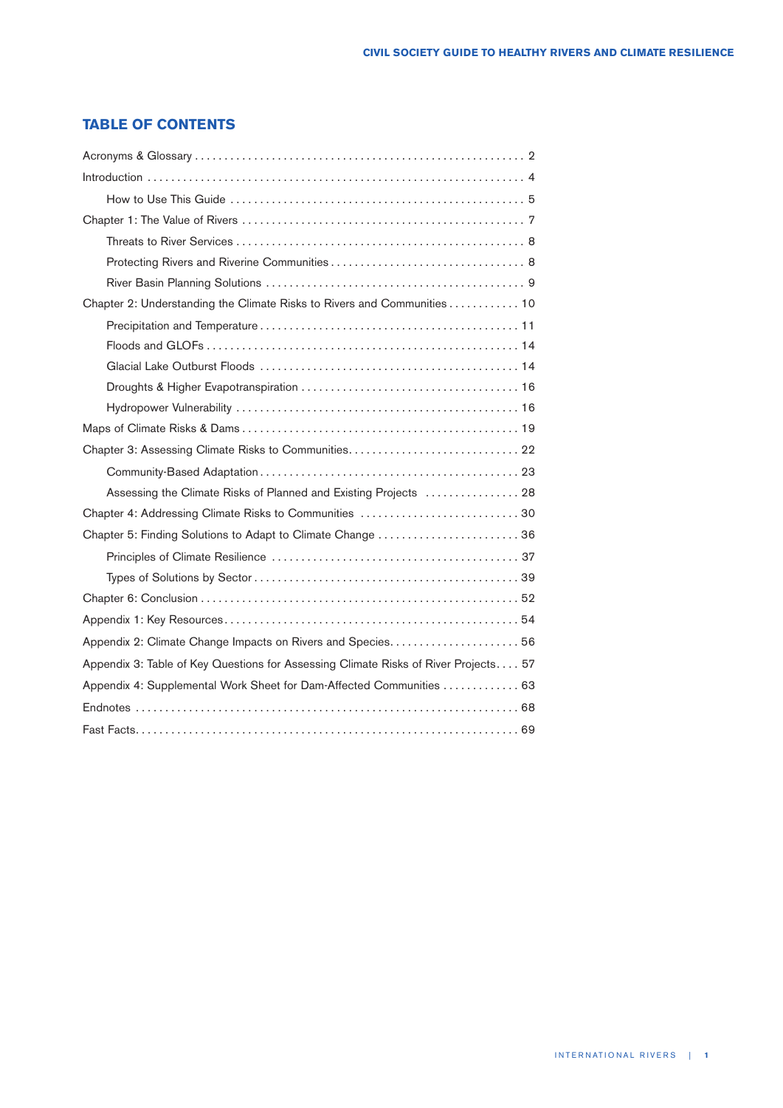## **TABLE OF CONTENTS**

| Chapter 2: Understanding the Climate Risks to Rivers and Communities 10<br>Assessing the Climate Risks of Planned and Existing Projects  28<br>Chapter 5: Finding Solutions to Adapt to Climate Change  36 |  |  |  |  |
|------------------------------------------------------------------------------------------------------------------------------------------------------------------------------------------------------------|--|--|--|--|
|                                                                                                                                                                                                            |  |  |  |  |
|                                                                                                                                                                                                            |  |  |  |  |
|                                                                                                                                                                                                            |  |  |  |  |
|                                                                                                                                                                                                            |  |  |  |  |
|                                                                                                                                                                                                            |  |  |  |  |
|                                                                                                                                                                                                            |  |  |  |  |
|                                                                                                                                                                                                            |  |  |  |  |
|                                                                                                                                                                                                            |  |  |  |  |
|                                                                                                                                                                                                            |  |  |  |  |
|                                                                                                                                                                                                            |  |  |  |  |
|                                                                                                                                                                                                            |  |  |  |  |
|                                                                                                                                                                                                            |  |  |  |  |
|                                                                                                                                                                                                            |  |  |  |  |
|                                                                                                                                                                                                            |  |  |  |  |
|                                                                                                                                                                                                            |  |  |  |  |
|                                                                                                                                                                                                            |  |  |  |  |
|                                                                                                                                                                                                            |  |  |  |  |
|                                                                                                                                                                                                            |  |  |  |  |
|                                                                                                                                                                                                            |  |  |  |  |
|                                                                                                                                                                                                            |  |  |  |  |
|                                                                                                                                                                                                            |  |  |  |  |
|                                                                                                                                                                                                            |  |  |  |  |
|                                                                                                                                                                                                            |  |  |  |  |
| Appendix 3: Table of Key Questions for Assessing Climate Risks of River Projects 57                                                                                                                        |  |  |  |  |
| Appendix 4: Supplemental Work Sheet for Dam-Affected Communities 63                                                                                                                                        |  |  |  |  |
|                                                                                                                                                                                                            |  |  |  |  |
|                                                                                                                                                                                                            |  |  |  |  |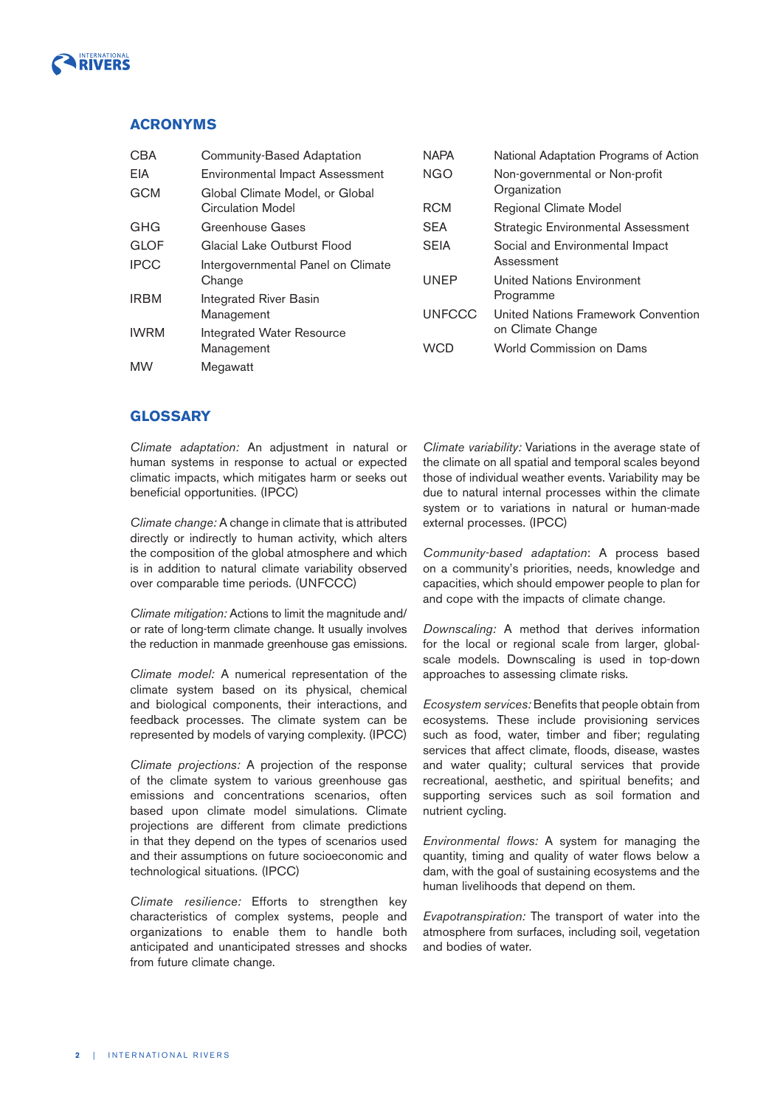

## **ACRONYMS**

| <b>CBA</b>  | Community-Based Adaptation             | <b>NAPA</b>   | National Adaptation Programs of Action    |
|-------------|----------------------------------------|---------------|-------------------------------------------|
| EIA         | <b>Environmental Impact Assessment</b> | <b>NGO</b>    | Non-governmental or Non-profit            |
| <b>GCM</b>  | Global Climate Model, or Global        |               | Organization                              |
|             | <b>Circulation Model</b>               | <b>RCM</b>    | Regional Climate Model                    |
| GHG         | Greenhouse Gases                       | <b>SEA</b>    | <b>Strategic Environmental Assessment</b> |
| <b>GLOF</b> | Glacial Lake Outburst Flood            | <b>SEIA</b>   | Social and Environmental Impact           |
| <b>IPCC</b> | Intergovernmental Panel on Climate     |               | Assessment                                |
|             | Change                                 | <b>UNEP</b>   | United Nations Environment                |
| <b>IRBM</b> | <b>Integrated River Basin</b>          |               | Programme                                 |
|             | Management                             | <b>UNFCCC</b> | United Nations Framework Convention       |
| <b>IWRM</b> | <b>Integrated Water Resource</b>       |               | on Climate Change                         |
|             | Management                             | <b>WCD</b>    | World Commission on Dams                  |
| <b>MW</b>   | Megawatt                               |               |                                           |

## **GLOSSARY**

Climate adaptation: An adjustment in natural or human systems in response to actual or expected climatic impacts, which mitigates harm or seeks out beneficial opportunities. (IPCC)

Climate change: A change in climate that is attributed directly or indirectly to human activity, which alters the composition of the global atmosphere and which is in addition to natural climate variability observed over comparable time periods. (UNFCCC)

Climate mitigation: Actions to limit the magnitude and/ or rate of long-term climate change. It usually involves the reduction in manmade greenhouse gas emissions.

Climate model: A numerical representation of the climate system based on its physical, chemical and biological components, their interactions, and feedback processes. The climate system can be represented by models of varying complexity. (IPCC)

Climate projections: A projection of the response of the climate system to various greenhouse gas emissions and concentrations scenarios, often based upon climate model simulations. Climate projections are different from climate predictions in that they depend on the types of scenarios used and their assumptions on future socioeconomic and technological situations. (IPCC)

Climate resilience: Efforts to strengthen key characteristics of complex systems, people and organizations to enable them to handle both anticipated and unanticipated stresses and shocks from future climate change.

Climate variability: Variations in the average state of the climate on all spatial and temporal scales beyond those of individual weather events. Variability may be due to natural internal processes within the climate system or to variations in natural or human-made external processes. (IPCC)

Community-based adaptation: A process based on a community's priorities, needs, knowledge and capacities, which should empower people to plan for and cope with the impacts of climate change.

Downscaling: A method that derives information for the local or regional scale from larger, globalscale models. Downscaling is used in top-down approaches to assessing climate risks.

Ecosystem services: Benefits that people obtain from ecosystems. These include provisioning services such as food, water, timber and fiber; regulating services that affect climate, floods, disease, wastes and water quality; cultural services that provide recreational, aesthetic, and spiritual benefits; and supporting services such as soil formation and nutrient cycling.

Environmental flows: A system for managing the quantity, timing and quality of water flows below a dam, with the goal of sustaining ecosystems and the human livelihoods that depend on them.

Evapotranspiration: The transport of water into the atmosphere from surfaces, including soil, vegetation and bodies of water.